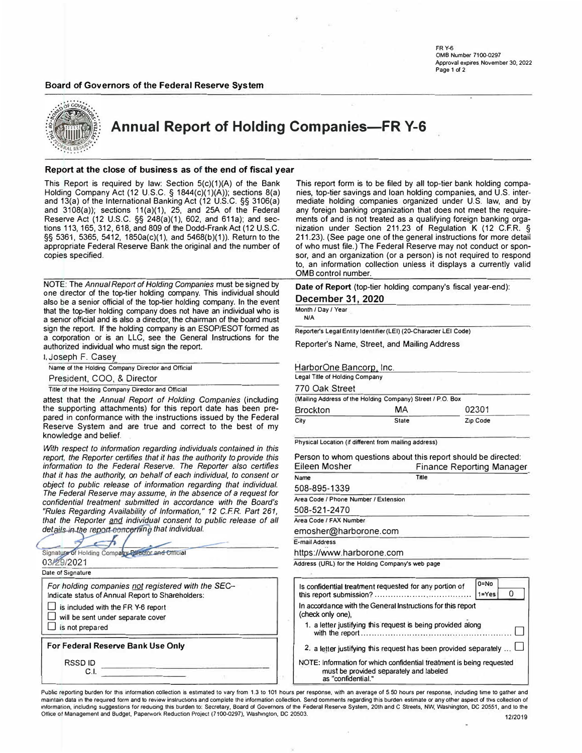**FRY-6 0MB Number 7100-0297 Approval expires November 30, 2022 Page 1 of 2** 

# **Board of Governors of the Federal Reserve System**



**Annual Report of Holding Companies-FR Y-6** 

### **Report at the close of business as of the end of fiscal year**

This Report is required by law: Section 5(c)(1)(A) of the Bank Holding Company Act (12 U.S.C. § 1844(c)(1)(A)); sections 8(a) and 13(a) of the International Banking Act (12 U.S.C. §§ 3106(a) and 3108(a)); sections 11(a)(1), 25, and 25A of the Federal Reserve Act (12 U.S.C. §§ 248(a)(1), 602, and 611a); and sections 113, 165, 312, 618, and 809 of the Dodd-Frank Act (12 U.S.C. §§ 5361, 5365, 5412, 1850a(c)(1), and 5468(b)(1)). Return to the appropriate Federal Reserve Bank the original and the number of copies specified.

NOTE: The *Annual Report of Holding Companies* must be signed by <sup>o</sup><sup>n</sup>e director of the top-tier holding company. This individual should also be a senior official of the top-tier holding company. In the event that the top-tier holding company does not have an individual who is a senior official and is also a director, the chairman of the board must sign the report. If the holding company is an ESOP/ESOT formed as a corporation or is an LLC, see the General Instructions for the authorized individual who must sign the report.

1, Joseph F. Casey

**Name of the Holding Company Director and Official** 

President, COO, & Director

**Title of the Holding Company Director and Official** 

attest that the *Annual Report of Holding Companies* (including the supporting attachments) for this report date has been prepared in conformance with the instructions issued by the Federal Reserve System and are true and correct to the best of my knowledge and belief.

*With respect to information regarding individuals contained in this report, the Reporter certifies that it has the authority to provide this information to the Federal Reserve. The Reporter also certifies that it has the authority, on behalf of each individual, to consent or object to public release of information regarding that individual. The Federal Reserve may assume, in the absence of* a *request for confidential treatment submitted in accordance with the Board's "Rules Regarding Availability of Information," 12 C.F.R. Part 261,*  that the Reporter and individual consent to public release of all details in the report concerning that individual.

| 03/29/2021<br>Date of Signature                                                                         |  |
|---------------------------------------------------------------------------------------------------------|--|
| For holding companies not registered with the SEC-<br>Indicate status of Annual Report to Shareholders: |  |
| $\Box$ is included with the FR Y-6 report<br>will be sent under separate cover<br>is not prepared       |  |
| For Federal Reserve Bank Use Only                                                                       |  |
| RSSD ID<br>C.I.                                                                                         |  |

This report form is to be filed by all top-tier bank holding companies, top-tier savings and loan holding companies, and U.S. intermediate holding companies organized under U.S. law, and by any foreign banking organization that does not meet the requirements of and is not treated as a qualifying foreign banking organization under Section 211.23 of Regulation K (12 C.F.R. § 211.23). (See page one of the general instructions for more detail of who must file.) The Federal Reserve may not conduct or sponsor, and an organization (or a person) is not required to respond to, an information collection unless it displays a currently valid 0MB control number.

**Date of Report** (top-tier holding company's fiscal year-end):

**December 31, 2020** 

**Month / Day / Year N/A**

**Reporter's Legal Entity Identifier (LEI) (20-Character LEI COde)** 

Reporter's Name, Street, and Mailing Address

| HarborOne Bancorp, Inc.        |                                                            |          |
|--------------------------------|------------------------------------------------------------|----------|
| Legal Title of Holding Company |                                                            |          |
| 770 Oak Street                 |                                                            |          |
|                                | (Mailing Address of the Holding Company) Street / P.O. Box |          |
| <b>Brockton</b>                | МA                                                         | 02301    |
| City                           | <b>State</b>                                               | Zip Code |

**Physical Location (if different from malling address)** 

| Person to whom questions about this report should be directed:<br>Eileen Mosher<br><b>Finance Reporting Manager</b> |                            |  |  |  |  |  |
|---------------------------------------------------------------------------------------------------------------------|----------------------------|--|--|--|--|--|
| Name                                                                                                                | Title                      |  |  |  |  |  |
| 508-895-1339                                                                                                        |                            |  |  |  |  |  |
| Area Code / Phone Number / Extension                                                                                |                            |  |  |  |  |  |
| 508-521-2470                                                                                                        |                            |  |  |  |  |  |
| Area Code / FAX Number                                                                                              |                            |  |  |  |  |  |
| emosher@harborone.com                                                                                               |                            |  |  |  |  |  |
| E-mail Address                                                                                                      |                            |  |  |  |  |  |
| https://www.harborone.com                                                                                           |                            |  |  |  |  |  |
| Address (URL) for the Holding Company's web page                                                                    |                            |  |  |  |  |  |
| Is confidential treatment requested for any portion of                                                              | $0 = No$<br>O<br>$1 = Yes$ |  |  |  |  |  |
| In accordance with the General Instructions for this report<br>(check only one)                                     |                            |  |  |  |  |  |

| (check only one),                                                          |  |
|----------------------------------------------------------------------------|--|
| 1. a letter justifying this request is being provided along                |  |
| 2. a letter justifying this request has been provided separately $\square$ |  |

NOTE: Information for which confidential treatment is being requested must be provided separately and labeled as "confidential."

Public reporting burden for this information collection is estimated to vary from 1.3 to 101 hours per response, with an average of 5.50 hours per response, including time to gather and maintain data in the required form and to review instructions and complete the information collection. Send comments regarding this burden estimate or any other aspect of this collection of **information, including suggestions for reducing this burden to: Secretary, Board of Governors of the Federal Reserve System, 20th and C Streets, NW, WaShington, DC 20551, and lo the**  Office of Management and Budget, Paperwork Reduction Project (7100-0297), Washington, DC 20503. 12120 **1212019 1212019**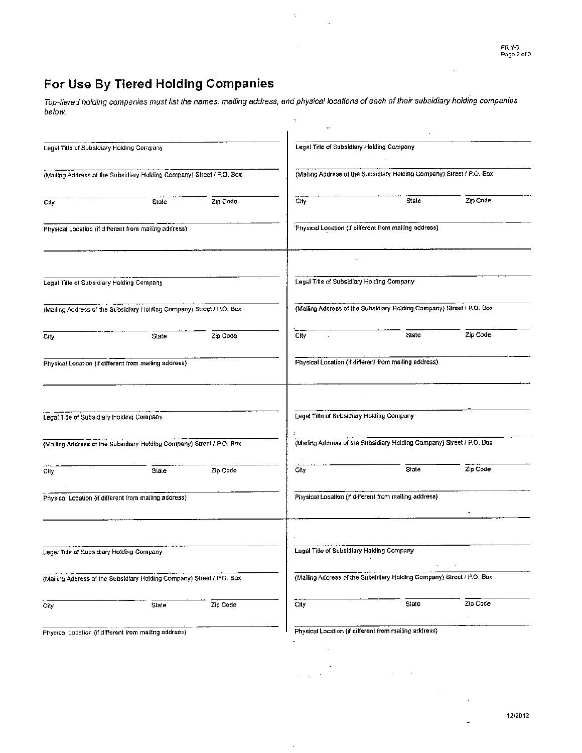$\ddot{\phantom{a}}$ 

# For Use By Tiered Holding Companies

Top-tiered holding companies must list the names, mailing address, and physical locations of each of their subsidiary holding companies below.

 $\bar{z}_i$ 

 $\Delta$ 

 $\ddot{\phantom{a}}$ 

| Legal Title of Subsidiary Holding Company |                                                                       |          | Legal Title of Subsidiary Holding Company |                                                                       |          |
|-------------------------------------------|-----------------------------------------------------------------------|----------|-------------------------------------------|-----------------------------------------------------------------------|----------|
|                                           | (Mailing Address of the Subsidiary Holding Company) Street / P.O. Box |          |                                           | (Malling Address of the Subsidlary Holding Company) Street / P.O. Box |          |
| City                                      | State                                                                 | Zip Code | City                                      | State                                                                 | Zip Code |
|                                           | Physical Location (if different from mailing address)                 |          |                                           | Physical Location (if different from malling address)                 |          |
|                                           |                                                                       |          |                                           |                                                                       |          |
| Legal Title of Subsidiary Holding Company |                                                                       |          | Legal Title of Subsidiary Holding Company |                                                                       |          |
|                                           | (Mailing Address of the Subsidiary Holding Company) Street / P.O. Box |          |                                           | (Mailing Address of the Subsidiary Holding Company) Street / P.O. Box |          |
| City                                      | State                                                                 | Zip Code | City                                      | State                                                                 | Zip Code |
|                                           | Physical Location (if different from mailing address)                 |          |                                           | Physical Location (if different from malling address)                 |          |
|                                           |                                                                       |          |                                           |                                                                       |          |
| Legal Title of Subsidiary Holding Company |                                                                       |          | Legal Title of Subsidiary Holding Company |                                                                       |          |
|                                           | (Mailing Address of the Subsidiary Holding Company) Street / P.O. Box |          |                                           | (Mailing Address of the Subsidiary Holding Company) Street / P.O. Box |          |
| City                                      | State                                                                 | Zip Code | City                                      | State                                                                 | Zip Code |
|                                           | Physical Location (if different from mailing address)                 |          |                                           | Physical Location (if different from mailing address)                 |          |
| Legal Title of Subsidiary Holding Company |                                                                       |          | Legal Title of Subsidiary Holding Company |                                                                       |          |
|                                           | (Mailing Address of the Subsidiary Holding Company) Street / P.O. Box |          |                                           | (Mailing Address of the Subsidiary Holding Company) Street / P.O. Box |          |
| City                                      | State                                                                 | Zip Code | City                                      | State                                                                 | Zip Code |
|                                           | Physical Location (if different from mailing address)                 |          |                                           | Physical Location (if different from mailing address)                 |          |
|                                           |                                                                       |          |                                           |                                                                       |          |

 $\overline{\phantom{a}}$ 

 $\label{eq:2.1} \frac{1}{\sqrt{2\pi}}\sum_{i=1}^n\frac{1}{\sqrt{2\pi}}\sum_{i=1}^n\frac{1}{\sqrt{2\pi}}\sum_{i=1}^n\frac{1}{\sqrt{2\pi}}\sum_{i=1}^n\frac{1}{\sqrt{2\pi}}\sum_{i=1}^n\frac{1}{\sqrt{2\pi}}\sum_{i=1}^n\frac{1}{\sqrt{2\pi}}\sum_{i=1}^n\frac{1}{\sqrt{2\pi}}\sum_{i=1}^n\frac{1}{\sqrt{2\pi}}\sum_{i=1}^n\frac{1}{\sqrt{2\pi}}\sum_{i=1}^n\$ 

 $\sim$ 

 $\bar{z}$ 

 $\ddot{\phantom{1}}$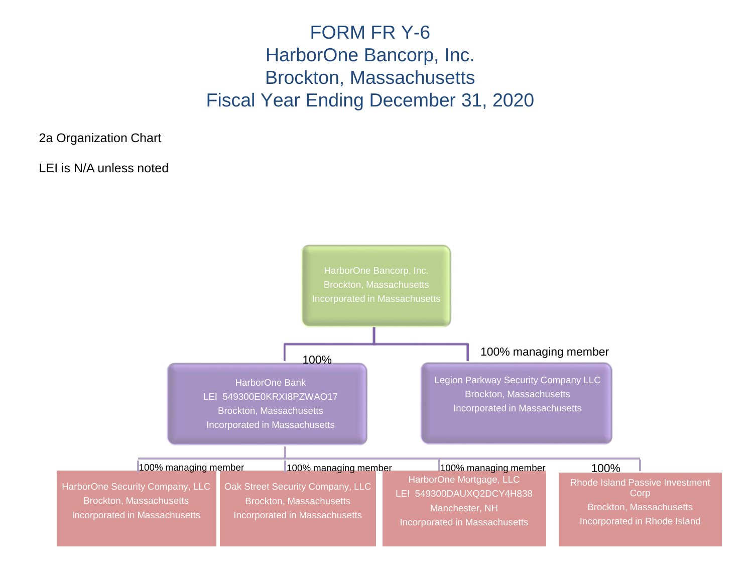# FORM FR Y-6 HarborOne Bancorp, Inc. Brockton, Massachusetts Fiscal Year Ending December 31, 2020

2a Organization Chart

LEI is N/A unless noted

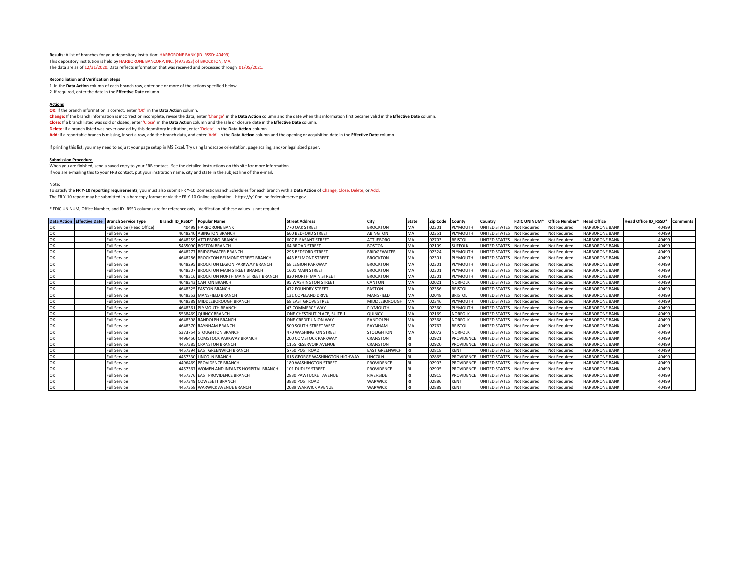**Results:** A list of branches for your depository institution: HARBORONE BANK (ID\_RSSD: 40499). This depository institution is held by HARBORONE BANCORP, INC. (4973353) of BROCKTON, MA. The data are as of 12/31/2020. Data reflects information that was received and processed through 01/05/2021.

#### **Reconciliation and Verification Steps**

1. In the **Data Action** column of each branch row, enter one or more of the actions specified below 2. If required, enter the date in the **Effective Date** column

#### **Actions**

**OK:** If the branch information is correct, enter 'OK' in the **Data Action** column.

**Change:** If the branch information is incorrect or incomplete, revise the data, enter 'Change' in the **Data Action** column and the date when this information first became valid in the **Effective Date** column. **Close:** If a branch listed was sold or closed, enter 'Close' in the **Data Action** column and the sale or closure date in the **Effective Date** column. **Delete:** If a branch listed was never owned by this depository institution, enter 'Delete' in the **Data Action** column. **Add:** If a reportable branch is missing, insert a row, add the branch data, and enter 'Add' in the **Data Action** column and the opening or acquisition date in the **Effective Date** column.

If printing this list, you may need to adjust your page setup in MS Excel. Try using landscape orientation, page scaling, and/or legal sized paper.

#### **Submission Procedure**

When you are finished, send a saved copy to your FRB contact. See the detailed instructions on this site for more information.

If you are e-mailing this to your FRB contact, put your institution name, city and state in the subject line of the e-mail.

#### Note:

To satisfy the **FR Y-10 reporting requirements**, you must also submit FR Y-10 Domestic Branch Schedules for each branch with a **Data Action** of Change, Close, Delete, or Add. The FR Y-10 report may be submitted in a hardcopy format or via the FR Y-10 Online application - https://y10online.federalreserve.gov.

\* FDIC UNINUM, Office Number, and ID\_RSSD columns are for reference only. Verification of these values is not required.

|    | Data Action Effective Date Branch Service Type | Branch ID RSSD* Popular Name |                                           | <b>Street Address</b>         | City                  | <b>State</b> | <b>Zip Code</b> | County            | Country                    | <b>FDIC UNINUM*</b> | Office Number*      | <b>Head Office</b>    | Head Office ID RSSD* | <b>Comments</b> |
|----|------------------------------------------------|------------------------------|-------------------------------------------|-------------------------------|-----------------------|--------------|-----------------|-------------------|----------------------------|---------------------|---------------------|-----------------------|----------------------|-----------------|
| ЭK | Full Service (Head Office)                     |                              | 40499 HARBORONE BANK                      | 770 OAK STREET                | <b>BROCKTON</b>       | MA           | 02301           | PLYMOUTH          | UNITED STATES              | <b>Not Required</b> | Not Required        | <b>HARBORONE BANK</b> | 40499                |                 |
| ገк | <b>Full Service</b>                            |                              | 4648240 ABINGTON BRANCH                   | <b>660 BEDFORD STREET</b>     | <b>ABINGTON</b>       | MA           | 02351           | PLYMOUTH          | UNITED STATES              | <b>Not Required</b> | <b>Not Required</b> | <b>HARBORONE BANK</b> | 40499                |                 |
| ЭK | <b>Full Service</b>                            |                              | 4648259 ATTLEBORO BRANCH                  | <b>607 PLEASANT STREET</b>    | <b>ATTLEBORO</b>      | MA           | 02703           | <b>BRISTOL</b>    | UNITED STATES              | <b>Not Required</b> | Not Reauired        | <b>HARBORONE BANK</b> | 40499                |                 |
| ЭK | <b>Full Service</b>                            |                              | 5435090 BOSTON BRANCH                     | <b>64 BROAD STREET</b>        | <b>BOSTON</b>         | MA           | 02109           | <b>SUFFOLK</b>    | UNITED STATES              | <b>Not Required</b> | Not Required        | <b>HARBORONE BANK</b> | 40499                |                 |
| ЭK | <b>Full Service</b>                            |                              | 4648277 BRIDGEWATER BRANCH                | 295 BEDFORD STREET            | <b>BRIDGEWATER</b>    | MA           | 02324           | PLYMOUTH          | UNITED STATES              | <b>Not Required</b> | <b>Not Required</b> | <b>HARBORONE BANK</b> | 40499                |                 |
| ЭK | <b>Full Service</b>                            |                              | 4648286 BROCKTON BELMONT STREET BRANCH    | 443 BELMONT STREET            | <b>BROCKTON</b>       | MA           | 02301           | PLYMOUTH          | UNITED STATES              | <b>Not Required</b> | <b>Not Required</b> | <b>HARBORONE BANK</b> | 40499                |                 |
| ЭK | <b>Full Service</b>                            |                              | 4648295 BROCKTON LEGION PARKWAY BRANCH    | <b>68 LEGION PARKWAY</b>      | <b>BROCKTON</b>       | MA           | 02301           | PLYMOUTH          | UNITED STATES Not Required |                     | Not Required        | <b>HARBORONE BANK</b> | 40499                |                 |
| ЭK | <b>Full Service</b>                            |                              | 4648307 BROCKTON MAIN STREET BRANCH       | 1601 MAIN STREET              | <b>BROCKTON</b>       | MA           | 02301           | PLYMOUTH          | UNITED STATES              | <b>Not Required</b> | <b>Not Required</b> | <b>HARBORONE BANK</b> | 40499                |                 |
| ЭK | <b>Full Service</b>                            |                              | 4648316 BROCKTON NORTH MAIN STREET BRANCH | 820 NORTH MAIN STREET         | <b>BROCKTON</b>       | MA           | 02301           | PLYMOUTH          | UNITED STATES Not Required |                     | <b>Not Required</b> | <b>HARBORONE BANK</b> | 40499                |                 |
| ЭK | <b>Full Service</b>                            |                              | 4648343 CANTON BRANCH                     | 95 WASHINGTON STREET          | CANTON                | MA           | 02021           | NORFOLI           | UNITED STATES Not Required |                     | Not Required        | <b>HARBORONE BANK</b> | 40499                |                 |
| ЭK | <b>Full Service</b>                            |                              | 4648325 EASTON BRANCH                     | 472 FOUNDRY STREET            | <b>EASTON</b>         | MA           | 02356           | <b>BRISTOL</b>    | UNITED STATES              | <b>Not Required</b> | <b>Not Required</b> | <b>HARBORONE BANK</b> | 40499                |                 |
| ЭK | <b>Full Service</b>                            |                              | 4648352 MANSFIELD BRANCH                  | 131 COPELAND DRIVE            | MANSFIELD             | MA           | 02048           | <b>BRISTO</b>     | UNITED STATES              | <b>Not Required</b> | Not Required        | <b>HARBORONE BANK</b> | 40499                |                 |
| ЭK | <b>Full Service</b>                            |                              | 4648389 MIDDLEBOROUGH BRANCH              | <b>68 EAST GROVE STREET</b>   | MIDDLEBOROUGH         | MA           | 02346           | PLYMOUTH          | UNITED STATES              | Not Required        | Not Required        | <b>HARBORONE BANK</b> | 40499                |                 |
| ЭK | <b>Full Service</b>                            |                              | 4648361 PLYMOUTH BRANCH                   | 43 COMMERCE WAY               | PLYMOUTH              | MA           | 02360           | PLYMOUTH          | UNITED STATES              | <b>Not Required</b> | <b>Not Required</b> | <b>HARBORONE BANK</b> | 40499                |                 |
| ЭK | <b>Full Service</b>                            |                              | 5538469 QUINCY BRANCH                     | ONE CHESTNUT PLACE, SUITE 1   | QUINCY                |              | 02169           | NORFOLI           | UNITED STATES              | <b>Not Required</b> | Not Reauired        | <b>HARBORONE BANK</b> | 40499                |                 |
| эĸ | <b>Full Service</b>                            |                              | 4648398 RANDOLPH BRANCH                   | ONE CREDIT UNION WAY          | RANDOLPH              | MA           | 02368           | <b>NORFOLI</b>    | UNITED STATES              | <b>Not Required</b> | <b>Not Required</b> | <b>HARBORONE BANK</b> | 40499                |                 |
| ЭK | <b>Full Service</b>                            |                              | 4648370 RAYNHAM BRANCH                    | <b>500 SOUTH STREET WEST</b>  | RAYNHAM               | MA           | 02767           | <b>BRISTOL</b>    | UNITED STATES              | <b>Not Required</b> | Not Reauired        | <b>HARBORONE BANK</b> | 40499                |                 |
| ЭK | <b>Full Service</b>                            |                              | 5373754 STOUGHTON BRANCH                  | <b>470 WASHINGTON STREET</b>  | <b>STOUGHTON</b>      | MA           | 02072           | <b>NORFOLI</b>    | <b>UNITED STATES</b>       | <b>Not Required</b> | Not Required        | <b>HARBORONE BANK</b> | 40499                |                 |
| ЭK | <b>Full Service</b>                            |                              | 4496450 COMSTOCK PARKWAY BRANCH           | 200 COMSTOCK PARKWAY          | CRANSTON              |              | 02921           | <b>PROVIDENCI</b> | UNITED STATES              | <b>Not Required</b> | Not Required        | <b>HARBORONE BANK</b> | 40499                |                 |
| ЭK | <b>Full Service</b>                            |                              | 4457385 CRANSTON BRANCH                   | <b>155 RESERVOIR AVENUE</b>   | CRANSTON              |              | 02920           | <b>PROVIDENCI</b> | UNITED STATES Not Required |                     | Not Required        | <b>HARBORONE BANK</b> | 40499                |                 |
| ЭK | <b>Full Service</b>                            |                              | 4457394 EAST GREENWICH BRANCH             | 5750 POST ROAD                | <b>EAST GREENWICH</b> |              | 02818           | <b>KENT</b>       | UNITED STATES Not Required |                     | <b>Not Required</b> | <b>HARBORONE BANK</b> | 40499                |                 |
| JК | <b>Full Service</b>                            |                              | 4457330 LINCOLN BRANCH                    | 618 GEORGE WASHINGTON HIGHWAY | LINCOLN               |              | 02865           | <b>PROVIDENCI</b> | UNITED STATES              | <b>Not Required</b> | Not Required        | <b>HARBORONE BANK</b> | 40499                |                 |
| ЭK | <b>Full Service</b>                            |                              | 4496469 PROVIDENCE BRANCH                 | 180 WASHINGTON STREET         | <b>PROVIDENCE</b>     |              | 02903           | PROVIDENCI        | UNITED STATES              | <b>Not Required</b> | Not Required        | <b>HARBORONE BANK</b> | 40499                |                 |
| ЭK | <b>Full Service</b>                            |                              | 4457367 WOMEN AND INFANTS HOSPITAL BRANCH | 101 DUDLEY STREET             | PROVIDENCE            |              | 02905           | PROVIDENCE        | UNITED STATES Not Required |                     | <b>Not Required</b> | <b>HARBORONE BANK</b> | 40499                |                 |
| ገк | <b>Full Service</b>                            |                              | 4457376 EAST PROVIDENCE BRANCH            | 2830 PAWTUCKET AVENUE         | <b>RIVERSIDE</b>      |              | 02915           | <b>PROVIDENCI</b> | <b>UNITED STATES</b>       | <b>Not Required</b> | <b>Not Required</b> | <b>HARBORONE BANK</b> | 40499                |                 |
| ЭK | <b>Full Service</b>                            |                              | 4457349 COWESETT BRANCH                   | 3830 POST ROAD                | WARWICK               |              | 02886           | <b>KENT</b>       | UNITED STATES              | <b>Not Required</b> | Not Required        | <b>HARBORONE BANK</b> | 40499                |                 |
| ЭK | <b>Full Service</b>                            |                              | 4457358 WARWICK AVENUE BRANCH             | 2089 WARWICK AVENUE           | WARWICK               |              | 02889           | <b>KENT</b>       | UNITED STATES Not Required |                     | <b>Not Required</b> | <b>HARBORONE BANK</b> | 40499                |                 |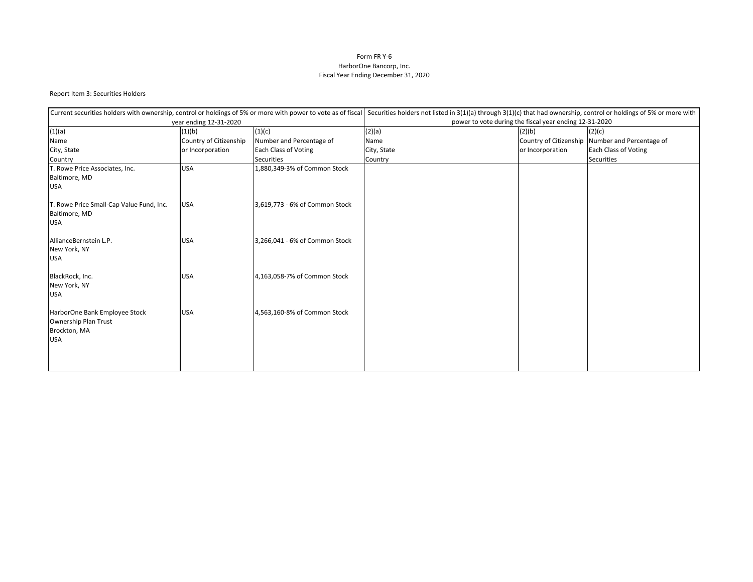# Form FR Y-6 HarborOne Bancorp, Inc. Fiscal Year Ending December 31, 2020

## Report Item 3: Securities Holders

|                                                                                     |                        | Current securities holders with ownership, control or holdings of 5% or more with power to vote as of fiscal Securities holders not listed in 3(1)(a) through 3(1)(c) that had ownership, control or holdings of 5% or more wi |                                                        |                  |                                                 |  |  |  |
|-------------------------------------------------------------------------------------|------------------------|--------------------------------------------------------------------------------------------------------------------------------------------------------------------------------------------------------------------------------|--------------------------------------------------------|------------------|-------------------------------------------------|--|--|--|
|                                                                                     | year ending 12-31-2020 |                                                                                                                                                                                                                                | power to vote during the fiscal year ending 12-31-2020 |                  |                                                 |  |  |  |
| (1)(a)<br>(1)(c)<br>(1)(b)                                                          |                        |                                                                                                                                                                                                                                | (2)(a)                                                 | (2)(b)           | (2)(c)                                          |  |  |  |
| Name                                                                                | Country of Citizenship | Number and Percentage of                                                                                                                                                                                                       | Name                                                   |                  | Country of Citizenship Number and Percentage of |  |  |  |
| City, State                                                                         | or Incorporation       | Each Class of Voting                                                                                                                                                                                                           | City, State                                            | or Incorporation | <b>Each Class of Voting</b>                     |  |  |  |
| Country                                                                             |                        | <b>Securities</b>                                                                                                                                                                                                              | Country                                                |                  | <b>Securities</b>                               |  |  |  |
| T. Rowe Price Associates, Inc.<br>Baltimore, MD<br><b>USA</b>                       | <b>USA</b>             | 1,880,349-3% of Common Stock                                                                                                                                                                                                   |                                                        |                  |                                                 |  |  |  |
| T. Rowe Price Small-Cap Value Fund, Inc.<br>Baltimore, MD<br><b>USA</b>             | <b>USA</b>             | 3,619,773 - 6% of Common Stock                                                                                                                                                                                                 |                                                        |                  |                                                 |  |  |  |
| AllianceBernstein L.P.<br>New York, NY<br><b>USA</b>                                | <b>USA</b>             | 3,266,041 - 6% of Common Stock                                                                                                                                                                                                 |                                                        |                  |                                                 |  |  |  |
| BlackRock, Inc.<br>New York, NY<br><b>USA</b>                                       | <b>USA</b>             | 4,163,058-7% of Common Stock                                                                                                                                                                                                   |                                                        |                  |                                                 |  |  |  |
| HarborOne Bank Employee Stock<br>Ownership Plan Trust<br>Brockton, MA<br><b>USA</b> | <b>USA</b>             | 4,563,160-8% of Common Stock                                                                                                                                                                                                   |                                                        |                  |                                                 |  |  |  |